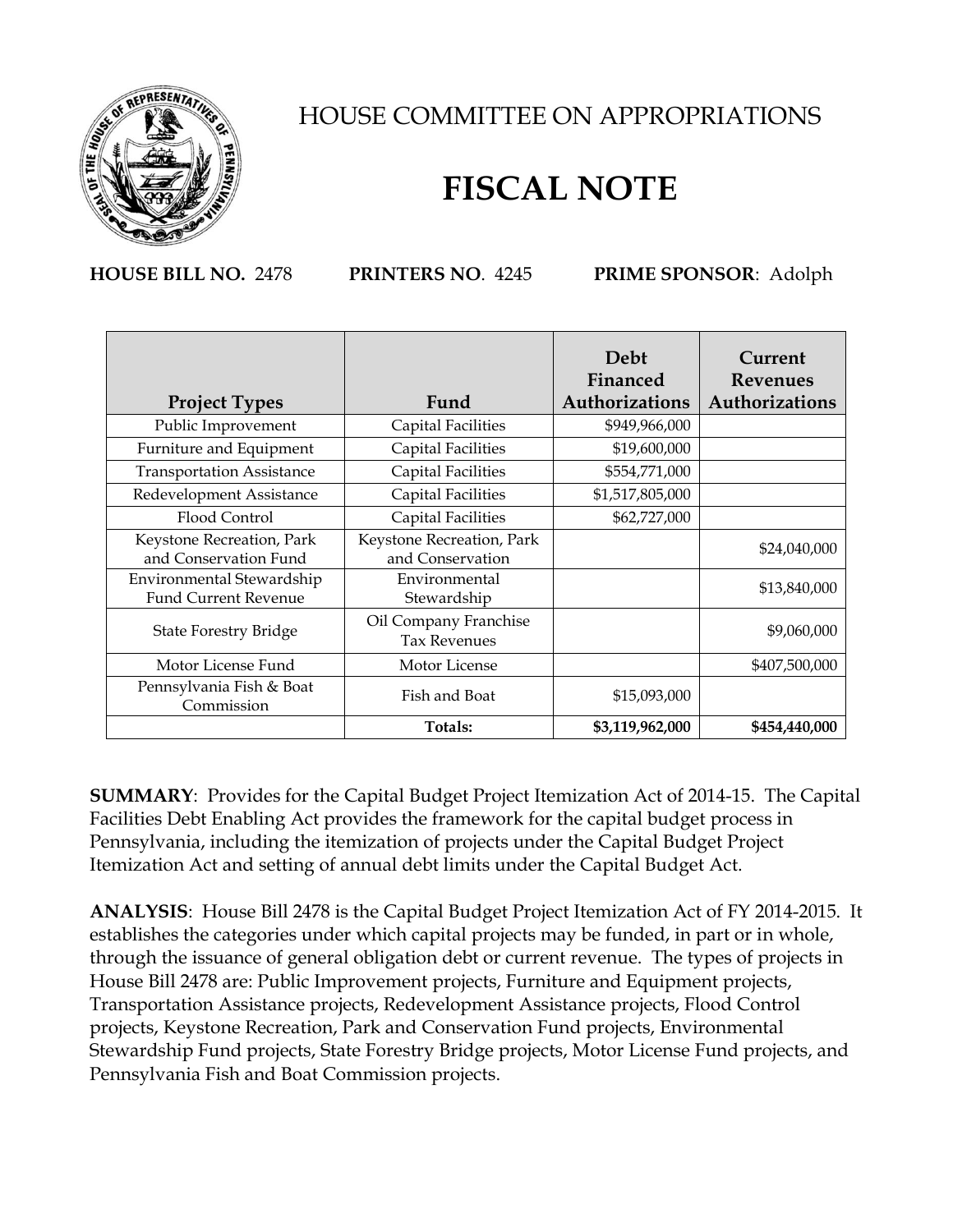

## HOUSE COMMITTEE ON APPROPRIATIONS

## **FISCAL NOTE**

**HOUSE BILL NO.** 2478 **PRINTERS NO**. 4245 **PRIME SPONSOR**: Adolph

|                                        |                           | Debt<br>Financed | Current<br><b>Revenues</b> |
|----------------------------------------|---------------------------|------------------|----------------------------|
| <b>Project Types</b>                   | Fund                      | Authorizations   | Authorizations             |
| Public Improvement                     | <b>Capital Facilities</b> | \$949,966,000    |                            |
| Furniture and Equipment                | Capital Facilities        | \$19,600,000     |                            |
| <b>Transportation Assistance</b>       | Capital Facilities        | \$554,771,000    |                            |
| Redevelopment Assistance               | Capital Facilities        | \$1,517,805,000  |                            |
| Flood Control                          | <b>Capital Facilities</b> | \$62,727,000     |                            |
| Keystone Recreation, Park              | Keystone Recreation, Park |                  | \$24,040,000               |
| and Conservation Fund                  | and Conservation          |                  |                            |
| Environmental Stewardship              | Environmental             |                  | \$13,840,000               |
| <b>Fund Current Revenue</b>            | Stewardship               |                  |                            |
| <b>State Forestry Bridge</b>           | Oil Company Franchise     |                  | \$9,060,000                |
|                                        | <b>Tax Revenues</b>       |                  |                            |
| Motor License Fund                     | Motor License             |                  | \$407,500,000              |
| Pennsylvania Fish & Boat<br>Commission | Fish and Boat             | \$15,093,000     |                            |
|                                        | Totals:                   | \$3,119,962,000  | \$454,440,000              |

**SUMMARY**: Provides for the Capital Budget Project Itemization Act of 2014-15. The Capital Facilities Debt Enabling Act provides the framework for the capital budget process in Pennsylvania, including the itemization of projects under the Capital Budget Project Itemization Act and setting of annual debt limits under the Capital Budget Act.

**ANALYSIS**: House Bill 2478 is the Capital Budget Project Itemization Act of FY 2014-2015. It establishes the categories under which capital projects may be funded, in part or in whole, through the issuance of general obligation debt or current revenue. The types of projects in House Bill 2478 are: Public Improvement projects, Furniture and Equipment projects, Transportation Assistance projects, Redevelopment Assistance projects, Flood Control projects, Keystone Recreation, Park and Conservation Fund projects, Environmental Stewardship Fund projects, State Forestry Bridge projects, Motor License Fund projects, and Pennsylvania Fish and Boat Commission projects.